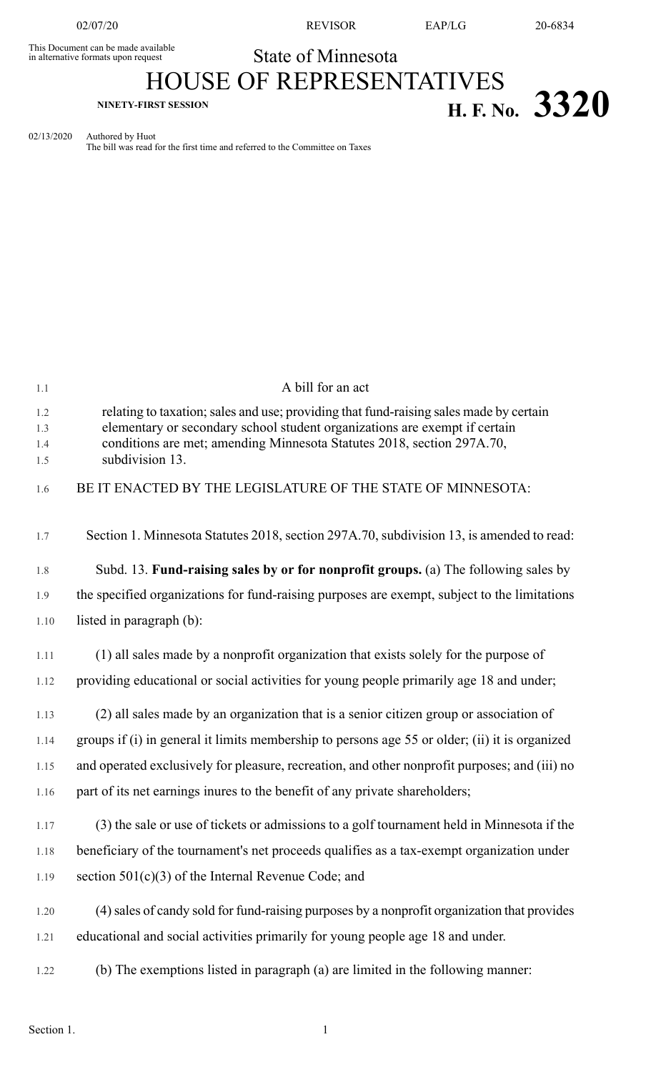This Document can be made available<br>in alternative formats upon request

02/07/20 REVISOR EAP/LG 20-6834

State of Minnesota

## HOUSE OF REPRESENTATIVES **NINETY-FIRST SESSION H. F. No. 3320**

02/13/2020 Authored by Huot

The bill was read for the first time and referred to the Committee on Taxes

| 1.1        | A bill for an act                                                                                                                                                    |
|------------|----------------------------------------------------------------------------------------------------------------------------------------------------------------------|
| 1.2<br>1.3 | relating to taxation; sales and use; providing that fund-raising sales made by certain<br>elementary or secondary school student organizations are exempt if certain |
| 1.4<br>1.5 | conditions are met; amending Minnesota Statutes 2018, section 297A.70,<br>subdivision 13.                                                                            |
| 1.6        | BE IT ENACTED BY THE LEGISLATURE OF THE STATE OF MINNESOTA:                                                                                                          |
| 1.7        | Section 1. Minnesota Statutes 2018, section 297A.70, subdivision 13, is amended to read:                                                                             |
| 1.8        | Subd. 13. Fund-raising sales by or for nonprofit groups. (a) The following sales by                                                                                  |
| 1.9        | the specified organizations for fund-raising purposes are exempt, subject to the limitations                                                                         |
| 1.10       | listed in paragraph (b):                                                                                                                                             |
| 1.11       | (1) all sales made by a nonprofit organization that exists solely for the purpose of                                                                                 |
| 1.12       | providing educational or social activities for young people primarily age 18 and under;                                                                              |
| 1.13       | (2) all sales made by an organization that is a senior citizen group or association of                                                                               |
| 1.14       | groups if (i) in general it limits membership to persons age 55 or older; (ii) it is organized                                                                       |
| 1.15       | and operated exclusively for pleasure, recreation, and other nonprofit purposes; and (iii) no                                                                        |
| 1.16       | part of its net earnings inures to the benefit of any private shareholders;                                                                                          |
| 1.17       | (3) the sale or use of tickets or admissions to a golf tournament held in Minnesota if the                                                                           |
| 1.18       | beneficiary of the tournament's net proceeds qualifies as a tax-exempt organization under                                                                            |
| 1.19       | section $501(c)(3)$ of the Internal Revenue Code; and                                                                                                                |
| 1.20       | (4) sales of candy sold for fund-raising purposes by a nonprofit organization that provides                                                                          |
| 1.21       | educational and social activities primarily for young people age 18 and under.                                                                                       |
| 1.22       | (b) The exemptions listed in paragraph (a) are limited in the following manner:                                                                                      |